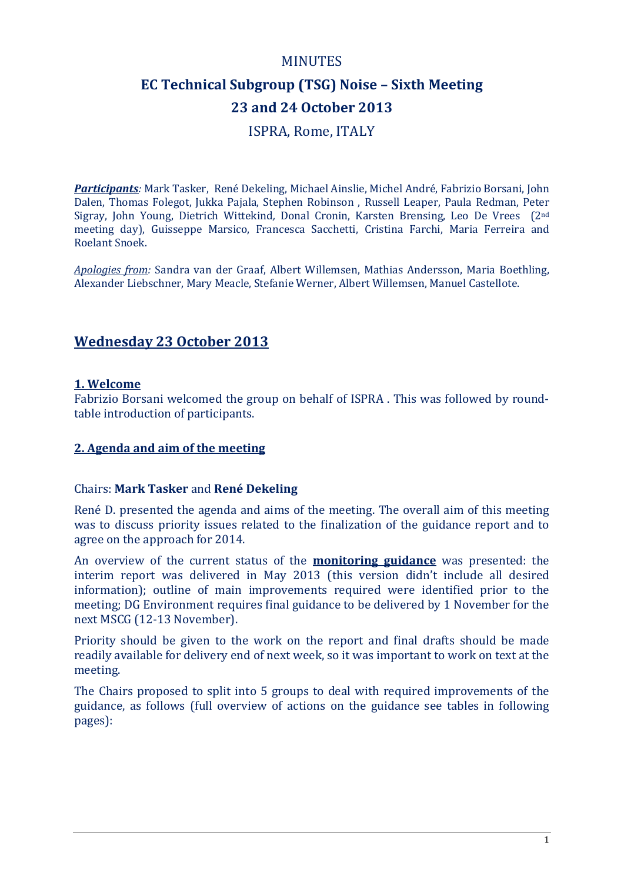# MINUTES

# **EC Technical Subgroup (TSG) Noise – Sixth Meeting 23 and 24 October 2013**

ISPRA, Rome, ITALY

*Participants:* Mark Tasker, René Dekeling, Michael Ainslie, Michel André, Fabrizio Borsani, John Dalen, Thomas Folegot, Jukka Pajala, Stephen Robinson , Russell Leaper, Paula Redman, Peter Sigray, John Young, Dietrich Wittekind*,* Donal Cronin, Karsten Brensing, Leo De Vrees (2nd meeting day), Guisseppe Marsico, Francesca Sacchetti, Cristina Farchi, Maria Ferreira and Roelant Snoek.

*Apologies from:* Sandra van der Graaf, Albert Willemsen, Mathias Andersson, Maria Boethling, Alexander Liebschner, Mary Meacle, Stefanie Werner, Albert Willemsen, Manuel Castellote.

# **Wednesday 23 October 2013**

#### **1. Welcome**

Fabrizio Borsani welcomed the group on behalf of ISPRA . This was followed by roundtable introduction of participants.

#### **2. Agenda and aim of the meeting**

#### Chairs: **Mark Tasker** and **René Dekeling**

René D. presented the agenda and aims of the meeting. The overall aim of this meeting was to discuss priority issues related to the finalization of the guidance report and to agree on the approach for 2014.

An overview of the current status of the **monitoring guidance** was presented: the interim report was delivered in May 2013 (this version didn't include all desired information); outline of main improvements required were identified prior to the meeting; DG Environment requires final guidance to be delivered by 1 November for the next MSCG (12-13 November).

Priority should be given to the work on the report and final drafts should be made readily available for delivery end of next week, so it was important to work on text at the meeting.

The Chairs proposed to split into 5 groups to deal with required improvements of the guidance, as follows (full overview of actions on the guidance see tables in following pages):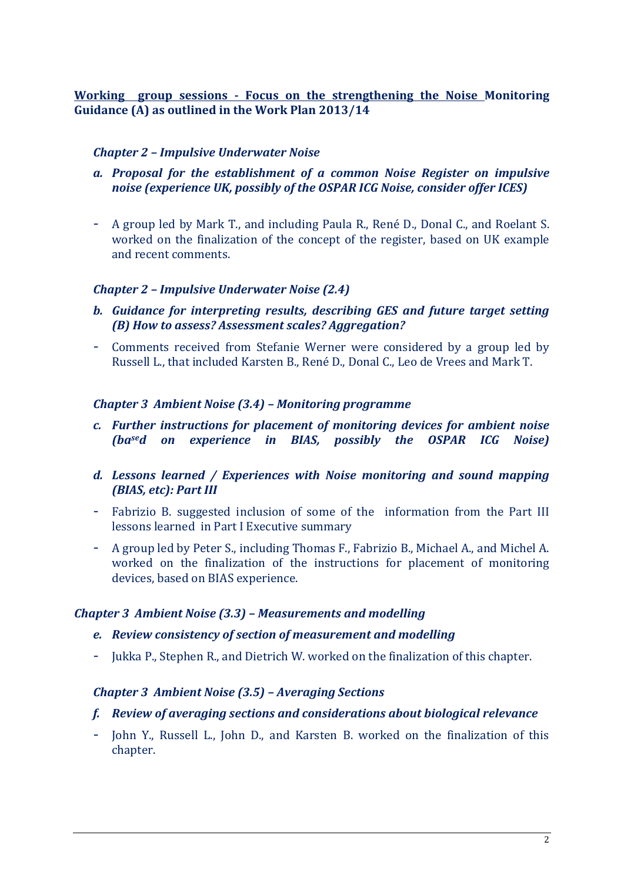**Working group sessions - Focus on the strengthening the Noise Monitoring Guidance (A) as outlined in the Work Plan 2013/14**

#### *Chapter 2 – Impulsive Underwater Noise*

- *a. Proposal for the establishment of a common Noise Register on impulsive noise (experience UK, possibly of the OSPAR ICG Noise, consider offer ICES)*
- A group led by Mark T., and including Paula R., René D., Donal C., and Roelant S. worked on the finalization of the concept of the register, based on UK example and recent comments.

#### *Chapter 2 – Impulsive Underwater Noise (2.4)*

- *b. Guidance for interpreting results, describing GES and future target setting (B) How to assess? Assessment scales? Aggregation?*
- Comments received from Stefanie Werner were considered by a group led by Russell L., that included Karsten B., René D., Donal C., Leo de Vrees and Mark T.

#### *Chapter 3 Ambient Noise (3.4) – Monitoring programme*

- *c. Further instructions for placement of monitoring devices for ambient noise (based on experience in BIAS, possibly the OSPAR ICG Noise)*
- *d. Lessons learned / Experiences with Noise monitoring and sound mapping (BIAS, etc): Part III*
- Fabrizio B. suggested inclusion of some of the information from the Part III lessons learned in Part I Executive summary
- A group led by Peter S., including Thomas F., Fabrizio B., Michael A., and Michel A. worked on the finalization of the instructions for placement of monitoring devices, based on BIAS experience.

#### *Chapter 3 Ambient Noise (3.3) – Measurements and modelling*

#### *e. Review consistency of section of measurement and modelling*

- Jukka P., Stephen R., and Dietrich W. worked on the finalization of this chapter.

#### *Chapter 3 Ambient Noise (3.5) – Averaging Sections*

#### *f. Review of averaging sections and considerations about biological relevance*

- John Y., Russell L., John D., and Karsten B. worked on the finalization of this chapter.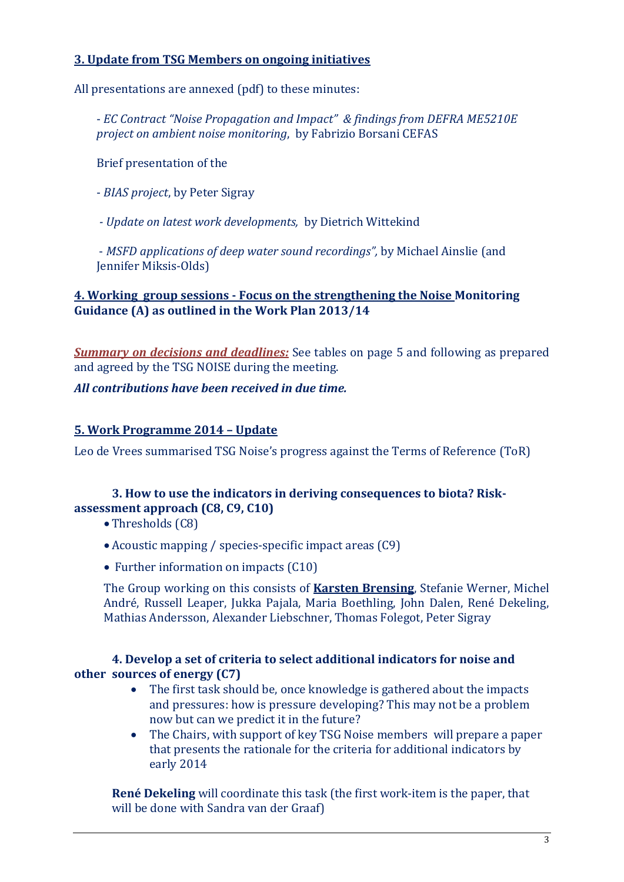#### **3. Update from TSG Members on ongoing initiatives**

All presentations are annexed (pdf) to these minutes:

- *EC Contract "Noise Propagation and Impact" & findings from DEFRA ME5210E project on ambient noise monitoring*, by Fabrizio Borsani CEFAS

Brief presentation of the

- *BIAS project*, by Peter Sigray

*- Update on latest work developments,* by Dietrich Wittekind

- *MSFD applications of deep water sound recordings",* by Michael Ainslie (and Jennifer Miksis-Olds)

#### **4. Working group sessions - Focus on the strengthening the Noise Monitoring Guidance (A) as outlined in the Work Plan 2013/14**

*Summary on decisions and deadlines:* See tables on page 5 and following as prepared and agreed by the TSG NOISE during the meeting.

#### *All contributions have been received in due time.*

#### **5. Work Programme 2014 – Update**

Leo de Vrees summarised TSG Noise's progress against the Terms of Reference (ToR)

#### **3. How to use the indicators in deriving consequences to biota? Riskassessment approach (C8, C9, C10)**

• Thresholds (C8)

- Acoustic mapping / species-specific impact areas (C9)
- Further information on impacts (C10)

The Group working on this consists of **Karsten Brensing**, Stefanie Werner, Michel André, Russell Leaper, Jukka Pajala, Maria Boethling, John Dalen, René Dekeling, Mathias Andersson, Alexander Liebschner, Thomas Folegot, Peter Sigray

### **4. Develop a set of criteria to select additional indicators for noise and other sources of energy (C7)**

- The first task should be, once knowledge is gathered about the impacts and pressures: how is pressure developing? This may not be a problem now but can we predict it in the future?
- The Chairs, with support of key TSG Noise members will prepare a paper that presents the rationale for the criteria for additional indicators by early 2014

**René Dekeling** will coordinate this task (the first work-item is the paper, that will be done with Sandra van der Graaf)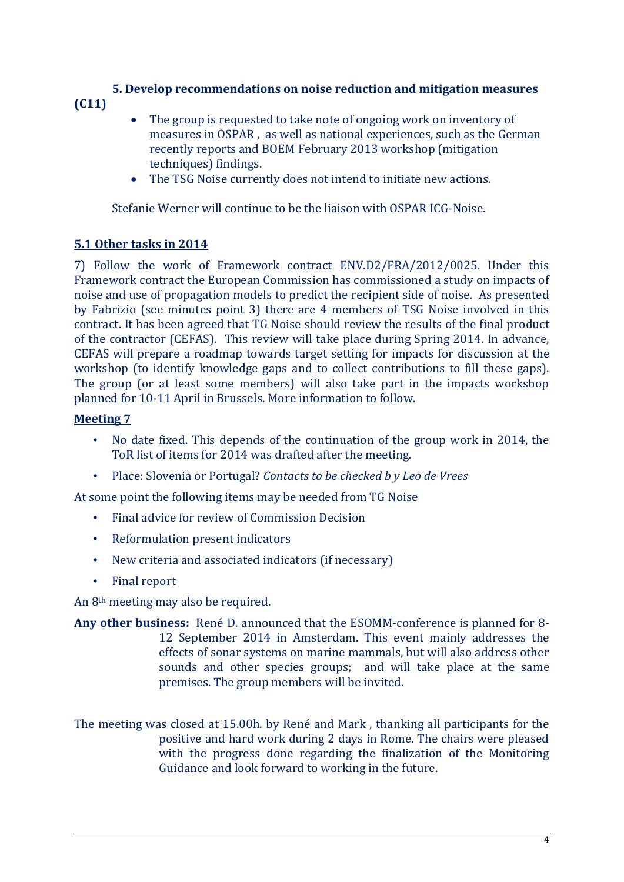#### **5. Develop recommendations on noise reduction and mitigation measures (C11)**

- The group is requested to take note of ongoing work on inventory of measures in OSPAR , as well as national experiences, such as the German recently reports and BOEM February 2013 workshop (mitigation techniques) findings.
- The TSG Noise currently does not intend to initiate new actions.

Stefanie Werner will continue to be the liaison with OSPAR ICG-Noise.

# **5.1 Other tasks in 2014**

7) Follow the work of Framework contract ENV.D2/FRA/2012/0025. Under this Framework contract the European Commission has commissioned a study on impacts of noise and use of propagation models to predict the recipient side of noise. As presented by Fabrizio (see minutes point 3) there are 4 members of TSG Noise involved in this contract. It has been agreed that TG Noise should review the results of the final product of the contractor (CEFAS). This review will take place during Spring 2014. In advance, CEFAS will prepare a roadmap towards target setting for impacts for discussion at the workshop (to identify knowledge gaps and to collect contributions to fill these gaps). The group (or at least some members) will also take part in the impacts workshop planned for 10-11 April in Brussels. More information to follow.

# **Meeting 7**

- No date fixed. This depends of the continuation of the group work in 2014, the ToR list of items for 2014 was drafted after the meeting.
- Place: Slovenia or Portugal? *Contacts to be checked b y Leo de Vrees*

At some point the following items may be needed from TG Noise

- Final advice for review of Commission Decision
- Reformulation present indicators
- New criteria and associated indicators (if necessary)
- Final report

An 8th meeting may also be required.

**Any other business:** René D. announced that the ESOMM-conference is planned for 8- 12 September 2014 in Amsterdam. This event mainly addresses the effects of sonar systems on marine mammals, but will also address other sounds and other species groups; and will take place at the same premises. The group members will be invited.

The meeting was closed at 15.00h. by René and Mark , thanking all participants for the positive and hard work during 2 days in Rome. The chairs were pleased with the progress done regarding the finalization of the Monitoring Guidance and look forward to working in the future.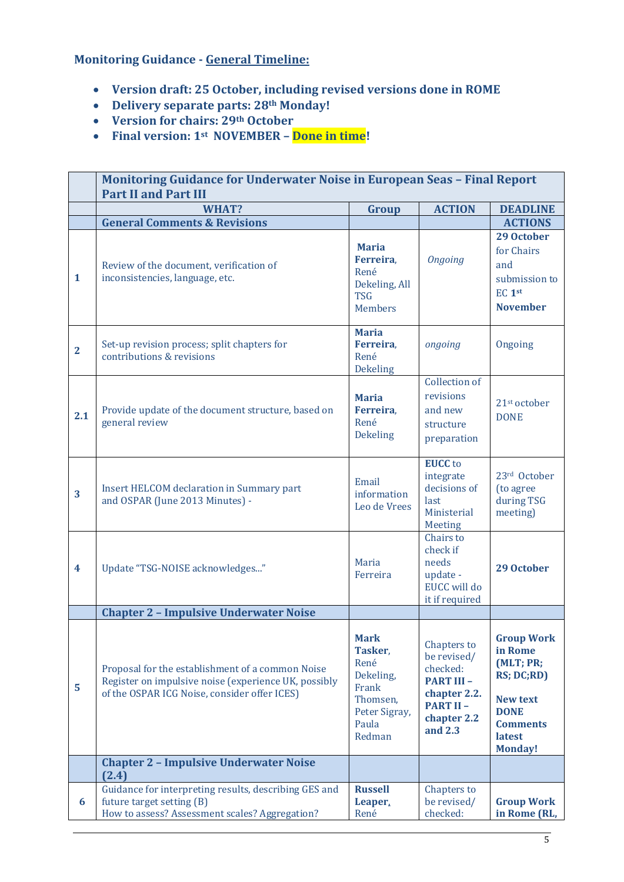**Monitoring Guidance - General Timeline:**

- **Version draft: 25 October, including revised versions done in ROME**
- **Delivery separate parts: 28th Monday!**
- **Version for chairs: 29th October**
- **Final version: 1st NOVEMBER – Done in time!**

|                         | <b>Monitoring Guidance for Underwater Noise in European Seas - Final Report</b><br><b>Part II and Part III</b>                                           |                                                                                                      |                                                                                                                          |                                                                                                                                                 |
|-------------------------|----------------------------------------------------------------------------------------------------------------------------------------------------------|------------------------------------------------------------------------------------------------------|--------------------------------------------------------------------------------------------------------------------------|-------------------------------------------------------------------------------------------------------------------------------------------------|
|                         | WHAT?                                                                                                                                                    | Group                                                                                                | <b>ACTION</b>                                                                                                            | <b>DEADLINE</b>                                                                                                                                 |
|                         | <b>General Comments &amp; Revisions</b>                                                                                                                  |                                                                                                      |                                                                                                                          | <b>ACTIONS</b>                                                                                                                                  |
| $\mathbf{1}$            | Review of the document, verification of<br>inconsistencies, language, etc.                                                                               | <b>Maria</b><br>Ferreira,<br>René<br>Dekeling, All<br><b>TSG</b><br><b>Members</b>                   | <b>Ongoing</b>                                                                                                           | 29 October<br>for Chairs<br>and<br>submission to<br>EC <sub>1st</sub><br><b>November</b>                                                        |
| $\overline{2}$          | Set-up revision process; split chapters for<br>contributions & revisions                                                                                 | <b>Maria</b><br>Ferreira,<br>René<br>Dekeling                                                        | ongoing                                                                                                                  | Ongoing                                                                                                                                         |
| 2.1                     | Provide update of the document structure, based on<br>general review                                                                                     | <b>Maria</b><br>Ferreira,<br>René<br><b>Dekeling</b>                                                 | Collection of<br>revisions<br>and new<br>structure<br>preparation                                                        | 21 <sup>st</sup> october<br><b>DONE</b>                                                                                                         |
| 3                       | Insert HELCOM declaration in Summary part<br>and OSPAR (June 2013 Minutes) -                                                                             | Email<br>information<br>Leo de Vrees                                                                 | <b>EUCC</b> to<br>integrate<br>decisions of<br>last<br>Ministerial<br>Meeting                                            | 23rd October<br>(to agree<br>during TSG<br>meeting)                                                                                             |
| $\overline{\mathbf{4}}$ | Update "TSG-NOISE acknowledges"                                                                                                                          | Maria<br>Ferreira                                                                                    | Chairs to<br>check if<br>needs<br>update -<br><b>EUCC</b> will do<br>it if required                                      | 29 October                                                                                                                                      |
|                         | <b>Chapter 2 - Impulsive Underwater Noise</b>                                                                                                            |                                                                                                      |                                                                                                                          |                                                                                                                                                 |
| 5                       | Proposal for the establishment of a common Noise<br>Register on impulsive noise (experience UK, possibly<br>of the OSPAR ICG Noise, consider offer ICES) | <b>Mark</b><br>Tasker,<br>René<br>Dekeling,<br>Frank<br>Thomsen,<br>Peter Sigray,<br>Paula<br>Redman | Chapters to<br>be revised/<br>checked:<br><b>PART III -</b><br>chapter 2.2.<br><b>PART II-</b><br>chapter 2.2<br>and 2.3 | <b>Group Work</b><br>in Rome<br>(MLT; PR;<br><b>RS; DC;RD)</b><br><b>New text</b><br><b>DONE</b><br><b>Comments</b><br>latest<br><b>Monday!</b> |
|                         | <b>Chapter 2 - Impulsive Underwater Noise</b><br>(2.4)                                                                                                   |                                                                                                      |                                                                                                                          |                                                                                                                                                 |
| 6                       | Guidance for interpreting results, describing GES and<br>future target setting (B)<br>How to assess? Assessment scales? Aggregation?                     | <b>Russell</b><br>Leaper.<br>René                                                                    | Chapters to<br>be revised/<br>checked:                                                                                   | <b>Group Work</b><br>in Rome (RL,                                                                                                               |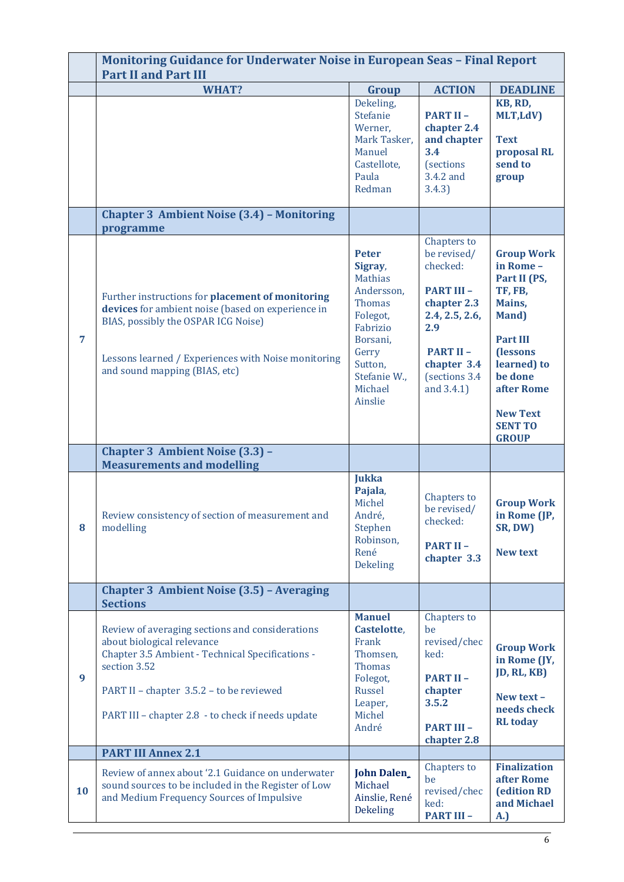|    | <b>Monitoring Guidance for Underwater Noise in European Seas - Final Report</b><br><b>Part II and Part III</b>                                                                                                                                     |                                                                                                                                                                        |                                                                                                                                                                       |                                                                                                                                                                                                                |
|----|----------------------------------------------------------------------------------------------------------------------------------------------------------------------------------------------------------------------------------------------------|------------------------------------------------------------------------------------------------------------------------------------------------------------------------|-----------------------------------------------------------------------------------------------------------------------------------------------------------------------|----------------------------------------------------------------------------------------------------------------------------------------------------------------------------------------------------------------|
|    | WHAT?                                                                                                                                                                                                                                              | Group                                                                                                                                                                  | <b>ACTION</b>                                                                                                                                                         | <b>DEADLINE</b>                                                                                                                                                                                                |
|    |                                                                                                                                                                                                                                                    | Dekeling,<br>Stefanie<br>Werner,<br>Mark Tasker,<br>Manuel<br>Castellote,<br>Paula<br>Redman                                                                           | <b>PART II-</b><br>chapter 2.4<br>and chapter<br>3.4<br><i>(sections)</i><br>3.4.2 and<br>3.4.3)                                                                      | KB, RD,<br>MLT,LdV)<br><b>Text</b><br>proposal RL<br>send to<br>group                                                                                                                                          |
|    | <b>Chapter 3 Ambient Noise (3.4) - Monitoring</b><br>programme                                                                                                                                                                                     |                                                                                                                                                                        |                                                                                                                                                                       |                                                                                                                                                                                                                |
| 7  | Further instructions for placement of monitoring<br>devices for ambient noise (based on experience in<br>BIAS, possibly the OSPAR ICG Noise)<br>Lessons learned / Experiences with Noise monitoring<br>and sound mapping (BIAS, etc)               | <b>Peter</b><br>Sigray,<br><b>Mathias</b><br>Andersson,<br><b>Thomas</b><br>Folegot,<br>Fabrizio<br>Borsani,<br>Gerry<br>Sutton,<br>Stefanie W.,<br>Michael<br>Ainslie | Chapters to<br>be revised/<br>checked:<br><b>PART III -</b><br>chapter 2.3<br>2.4, 2.5, 2.6,<br>2.9<br><b>PART II-</b><br>chapter 3.4<br>(sections 3.4)<br>and 3.4.1) | <b>Group Work</b><br>in Rome-<br>Part II (PS,<br>TF, FB,<br>Mains,<br>Mand)<br><b>Part III</b><br><b>(lessons</b><br>learned) to<br>be done<br>after Rome<br><b>New Text</b><br><b>SENT TO</b><br><b>GROUP</b> |
|    | <b>Chapter 3 Ambient Noise (3.3) -</b><br><b>Measurements and modelling</b>                                                                                                                                                                        |                                                                                                                                                                        |                                                                                                                                                                       |                                                                                                                                                                                                                |
| 8  | Review consistency of section of measurement and<br>modelling                                                                                                                                                                                      | <b>Jukka</b><br>Pajala,<br>Michel<br>André,<br>Stephen<br>Robinson,<br>René<br><b>Dekeling</b>                                                                         | Chapters to<br>be revised/<br>checked:<br><b>PART II-</b><br>chapter 3.3                                                                                              | <b>Group Work</b><br>in Rome (JP,<br>SR, DW)<br><b>New text</b>                                                                                                                                                |
|    | <b>Chapter 3 Ambient Noise (3.5) - Averaging</b><br><b>Sections</b>                                                                                                                                                                                |                                                                                                                                                                        |                                                                                                                                                                       |                                                                                                                                                                                                                |
| 9  | Review of averaging sections and considerations<br>about biological relevance<br>Chapter 3.5 Ambient - Technical Specifications -<br>section 3.52<br>PART II - chapter 3.5.2 - to be reviewed<br>PART III - chapter 2.8 - to check if needs update | <b>Manuel</b><br>Castelotte,<br>Frank<br>Thomsen,<br><b>Thomas</b><br>Folegot,<br>Russel<br>Leaper,<br>Michel<br>André                                                 | Chapters to<br>be<br>revised/chec<br>ked:<br><b>PART II-</b><br>chapter<br>3.5.2<br><b>PART III -</b><br>chapter 2.8                                                  | <b>Group Work</b><br>in Rome (JY,<br>JD, RL, KB)<br>New text -<br>needs check<br><b>RL</b> today                                                                                                               |
|    | <b>PART III Annex 2.1</b>                                                                                                                                                                                                                          |                                                                                                                                                                        |                                                                                                                                                                       |                                                                                                                                                                                                                |
| 10 | Review of annex about '2.1 Guidance on underwater<br>sound sources to be included in the Register of Low<br>and Medium Frequency Sources of Impulsive                                                                                              | <b>John Dalen</b><br>Michael<br>Ainslie, René<br>Dekeling                                                                                                              | Chapters to<br>be<br>revised/chec<br>ked:<br><b>PART III -</b>                                                                                                        | <b>Finalization</b><br>after Rome<br><b>(edition RD</b><br>and Michael<br>A.)                                                                                                                                  |